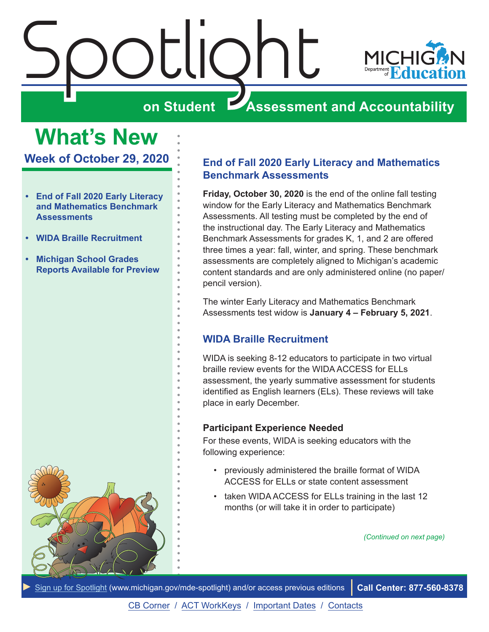<span id="page-0-0"></span>

**What's New Week of October 29, 2020**

- **• End of Fall 2020 Early Literacy and Mathematics Benchmark Assessments**
- **• WIDA Braille Recruitment**
- **• [Michigan School Grades](#page-2-0)  [Reports Available for Preview](#page-2-0)**



#### **End of Fall 2020 Early Literacy and Mathematics Benchmark Assessments**

**Friday, October 30, 2020** is the end of the online fall testing window for the Early Literacy and Mathematics Benchmark Assessments. All testing must be completed by the end of the instructional day. The Early Literacy and Mathematics Benchmark Assessments for grades K, 1, and 2 are offered three times a year: fall, winter, and spring. These benchmark assessments are completely aligned to Michigan's academic content standards and are only administered online (no paper/ pencil version).

The winter Early Literacy and Mathematics Benchmark Assessments test widow is **January 4 – February 5, 2021**.

#### **WIDA Braille Recruitment**

WIDA is seeking 8-12 educators to participate in two virtual braille review events for the WIDA ACCESS for ELLs assessment, the yearly summative assessment for students identified as English learners (ELs). These reviews will take place in early December.

#### **Participant Experience Needed**

For these events, WIDA is seeking educators with the following experience:

- previously administered the braille format of WIDA ACCESS for ELLs or state content assessment
- taken WIDA ACCESS for ELLs training in the last 12 months (or will take it in order to participate)

*(Continued on next page)*

*►* [Sign up for Spotlight](https://public.govdelivery.com/accounts/MIMDE/subscriber/new) ([www.michigan.gov/mde](www.michigan.gov/mde-spotlight)-spotlight) and/or access previous editions **Call Center: 877-560-8378**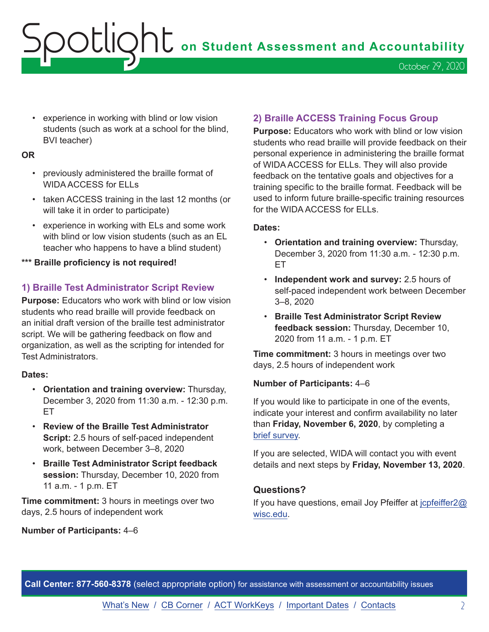**OOLIQhL** on Student Assessment and Accountability October 29, 2020

• experience in working with blind or low vision students (such as work at a school for the blind, BVI teacher)

#### **OR**

- previously administered the braille format of WIDA ACCESS for ELLs
- taken ACCESS training in the last 12 months (or will take it in order to participate)
- experience in working with ELs and some work with blind or low vision students (such as an EL teacher who happens to have a blind student)
- **\*\*\* Braille proficiency is not required!**

#### **1) Braille Test Administrator Script Review**

**Purpose:** Educators who work with blind or low vision students who read braille will provide feedback on an initial draft version of the braille test administrator script. We will be gathering feedback on flow and organization, as well as the scripting for intended for Test Administrators.

#### **Dates:**

- **Orientation and training overview:** Thursday, December 3, 2020 from 11:30 a.m. - 12:30 p.m. ET
- **Review of the Braille Test Administrator Script:** 2.5 hours of self-paced independent work, between December 3–8, 2020
- **Braille Test Administrator Script feedback session:** Thursday, December 10, 2020 from 11 a.m. - 1 p.m. ET

**Time commitment:** 3 hours in meetings over two days, 2.5 hours of independent work

#### **Number of Participants:** 4–6

#### **2) Braille ACCESS Training Focus Group**

**Purpose:** Educators who work with blind or low vision students who read braille will provide feedback on their personal experience in administering the braille format of WIDA ACCESS for ELLs. They will also provide feedback on the tentative goals and objectives for a training specific to the braille format. Feedback will be used to inform future braille-specific training resources for the WIDA ACCESS for ELLs.

#### **Dates:**

- **Orientation and training overview:** Thursday, December 3, 2020 from 11:30 a.m. - 12:30 p.m. ET
- **Independent work and survey:** 2.5 hours of self-paced independent work between December 3–8, 2020
- **Braille Test Administrator Script Review feedback session:** Thursday, December 10, 2020 from 11 a.m. - 1 p.m. ET

**Time commitment:** 3 hours in meetings over two days, 2.5 hours of independent work

#### **Number of Participants:** 4–6

If you would like to participate in one of the events, indicate your interest and confirm availability no later than **Friday, November 6, 2020**, by completing a [brief survey](https://uwmadison.co1.qualtrics.com/jfe/form/SV_88KEUDzNVOa02A5).

If you are selected, WIDA will contact you with event details and next steps by **Friday, November 13, 2020**.

#### **Questions?**

If you have questions, email Joy Pfeiffer at [jcpfeiffer2@](mailto:jcpfeiffer2%40wisc.edu?subject=) [wisc.edu](mailto:jcpfeiffer2%40wisc.edu?subject=).

**Call Center: 877-560-8378** (select appropriate option) for assistance with assessment or accountability issues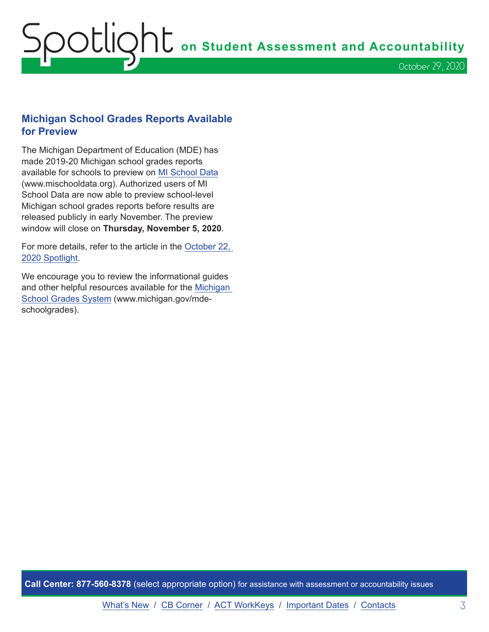## <span id="page-2-0"></span>Spotlight **on Student Assessment and Accountability** October 29, 2020

#### **Michigan School Grades Reports Available for Preview**

The Michigan Department of Education (MDE) has made 2019-20 Michigan school grades reports available for schools to preview on [MI School Data](http://www.mischooldata.org) (www.mischooldata.org). Authorized users of MI School Data are now able to preview school-level Michigan school grades reports before results are released publicly in early November. The preview window will close on **Thursday, November 5, 2020**.

For more details, refer to the article in the [October 22,](https://www.michigan.gov/documents/mde/Spotlight_10-22-20_705870_7.pdf)  [2020 Spotlight](https://www.michigan.gov/documents/mde/Spotlight_10-22-20_705870_7.pdf).

We encourage you to review the informational guides and other helpful resources available for the [Michigan](http://www.michigan.gov/mde-schoolgrades)  [School Grades System](http://www.michigan.gov/mde-schoolgrades) (www.michigan.gov/mdeschoolgrades).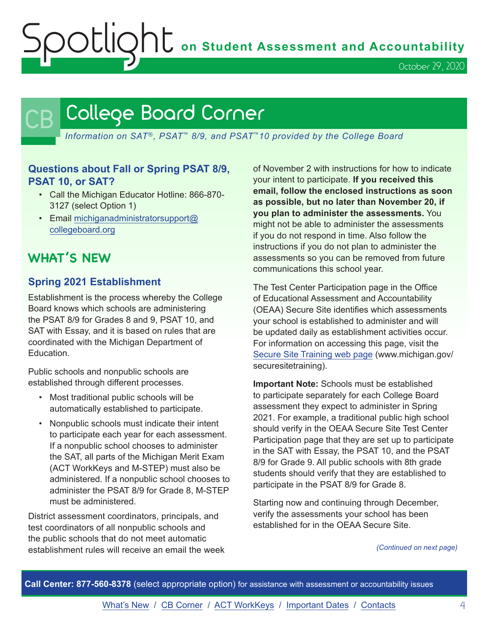OCLIQht on Student Assessment and Accountability

October 29, 2020

### <span id="page-3-0"></span>College Board Corner

*Information on SAT*®*, PSAT*™ *8/9, and PSAT*™*10 provided by the College Board*

#### **Questions about Fall or Spring PSAT 8/9, PSAT 10, or SAT?**

- Call the Michigan Educator Hotline: 866-870- 3127 (select Option 1)
- Email [michiganadministratorsupport@](mailto:michiganadministratorsupport%40collegeboard.org?subject=) [collegeboard.org](mailto:michiganadministratorsupport%40collegeboard.org?subject=)

#### **WHAT'S NEW**

#### **Spring 2021 Establishment**

Establishment is the process whereby the College Board knows which schools are administering the PSAT 8/9 for Grades 8 and 9, PSAT 10, and SAT with Essay, and it is based on rules that are coordinated with the Michigan Department of **Education** 

Public schools and nonpublic schools are established through different processes.

- Most traditional public schools will be automatically established to participate.
- Nonpublic schools must indicate their intent to participate each year for each assessment. If a nonpublic school chooses to administer the SAT, all parts of the Michigan Merit Exam (ACT WorkKeys and M-STEP) must also be administered. If a nonpublic school chooses to administer the PSAT 8/9 for Grade 8, M-STEP must be administered.

District assessment coordinators, principals, and test coordinators of all nonpublic schools and the public schools that do not meet automatic establishment rules will receive an email the week

of November 2 with instructions for how to indicate your intent to participate. **If you received this email, follow the enclosed instructions as soon as possible, but no later than November 20, if you plan to administer the assessments.** You might not be able to administer the assessments if you do not respond in time. Also follow the instructions if you do not plan to administer the assessments so you can be removed from future communications this school year.

The Test Center Participation page in the Office of Educational Assessment and Accountability (OEAA) Secure Site identifies which assessments your school is established to administer and will be updated daily as establishment activities occur. For information on accessing this page, visit the [Secure Site Training web page](http://www.michigan.gov/securesitetraining) (www.michigan.gov/ securesitetraining).

**Important Note:** Schools must be established to participate separately for each College Board assessment they expect to administer in Spring 2021. For example, a traditional public high school should verify in the OEAA Secure Site Test Center Participation page that they are set up to participate in the SAT with Essay, the PSAT 10, and the PSAT 8/9 for Grade 9. All public schools with 8th grade students should verify that they are established to participate in the PSAT 8/9 for Grade 8.

Starting now and continuing through December, verify the assessments your school has been established for in the OEAA Secure Site.

*(Continued on next page)*

**Call Center: 877-560-8378** (select appropriate option) for assistance with assessment or accountability issues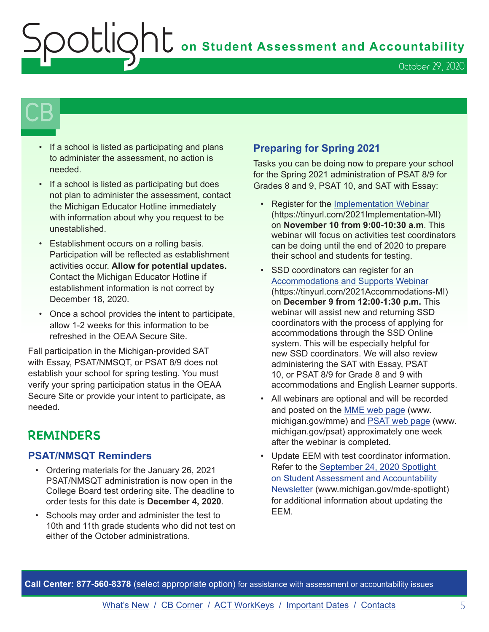Spotlight **on Student Assessment and Accountability**

October 29, 2020

## $\mathsf{CB}\,\mathsf{I}$

- If a school is listed as participating and plans to administer the assessment, no action is needed.
- If a school is listed as participating but does not plan to administer the assessment, contact the Michigan Educator Hotline immediately with information about why you request to be unestablished.
- Establishment occurs on a rolling basis. Participation will be reflected as establishment activities occur. **Allow for potential updates.**  Contact the Michigan Educator Hotline if establishment information is not correct by December 18, 2020.
- Once a school provides the intent to participate, allow 1-2 weeks for this information to be refreshed in the OEAA Secure Site.

Fall participation in the Michigan-provided SAT with Essay, PSAT/NMSQT, or PSAT 8/9 does not establish your school for spring testing. You must verify your spring participation status in the OEAA Secure Site or provide your intent to participate, as needed.

#### **REMINDERS**

#### **PSAT/NMSQT Reminders**

- Ordering materials for the January 26, 2021 PSAT/NMSQT administration is now open in the College Board test ordering site. The deadline to order tests for this date is **December 4, 2020**.
- Schools may order and administer the test to 10th and 11th grade students who did not test on either of the October administrations.

#### **Preparing for Spring 2021**

Tasks you can be doing now to prepare your school for the Spring 2021 administration of PSAT 8/9 for Grades 8 and 9, PSAT 10, and SAT with Essay:

- Register for the [Implementation Webinar](https://tinyurl.com/2021Implementation-MI) (https://tinyurl.com/2021Implementation-MI) on **November 10 from 9:00-10:30 a.m**. This webinar will focus on activities test coordinators can be doing until the end of 2020 to prepare their school and students for testing.
- SSD coordinators can register for an [Accommodations and Supports Webinar](https://tinyurl.com/2021Accommodations-MI) (https://tinyurl.com/2021Accommodations-MI) on **December 9 from 12:00-1:30 p.m.** This webinar will assist new and returning SSD coordinators with the process of applying for accommodations through the SSD Online system. This will be especially helpful for new SSD coordinators. We will also review administering the SAT with Essay, PSAT 10, or PSAT 8/9 for Grade 8 and 9 with accommodations and English Learner supports.
- All webinars are optional and will be recorded and posted on the [MME web page](www.michigan.gov/mme) (www. michigan.gov/mme) and [PSAT web page](http://www.michigan.gov/psat) (www. michigan.gov/psat) approximately one week after the webinar is completed.
- Update EEM with test coordinator information. Refer to the [September 24, 2020 Spotlight](https://www.michigan.gov/documents/mde/Spotlight_9-24-20_703294_7.pdf)  [on Student Assessment and Accountability](https://www.michigan.gov/documents/mde/Spotlight_9-24-20_703294_7.pdf)  [Newsletter](https://www.michigan.gov/documents/mde/Spotlight_9-24-20_703294_7.pdf) (www.michigan.gov/mde-spotlight) for additional information about updating the EEM.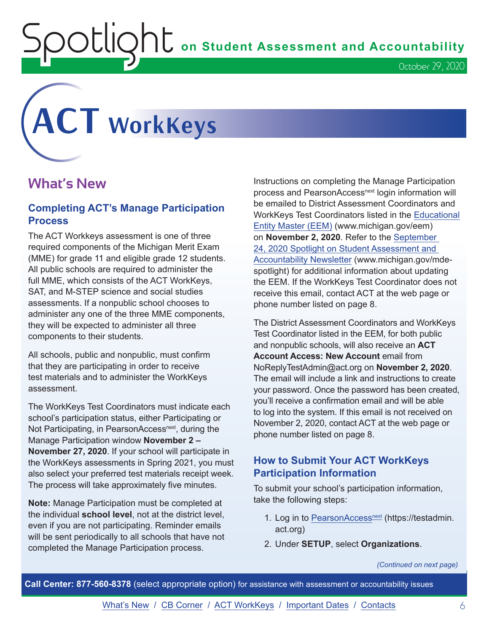$\overline{O}$  **COMPL** on Student Assessment and Accountability

# <span id="page-5-0"></span>**ACT WorkKeys**

#### **What's New**

#### **Completing ACT's Manage Participation Process**

The ACT Workkeys assessment is one of three required components of the Michigan Merit Exam (MME) for grade 11 and eligible grade 12 students. All public schools are required to administer the full MME, which consists of the ACT WorkKeys, SAT, and M-STEP science and social studies assessments. If a nonpublic school chooses to administer any one of the three MME components, they will be expected to administer all three components to their students.

All schools, public and nonpublic, must confirm that they are participating in order to receive test materials and to administer the WorkKeys assessment.

The WorkKeys Test Coordinators must indicate each school's participation status, either Participating or Not Participating, in PearsonAccess<sup>next</sup>, during the Manage Participation window **November 2 – November 27, 2020**. If your school will participate in the WorkKeys assessments in Spring 2021, you must also select your preferred test materials receipt week. The process will take approximately five minutes.

**Note:** Manage Participation must be completed at the individual **school level**, not at the district level, even if you are not participating. Reminder emails will be sent periodically to all schools that have not completed the Manage Participation process.

Instructions on completing the Manage Participation process and PearsonAccess<sup>next</sup> login information will be emailed to District Assessment Coordinators and WorkKeys Test Coordinators listed in the [Educational](www.michigan.gov/EEM)  [Entity Master \(EEM\)](www.michigan.gov/EEM) (www.michigan.gov/eem) on **November 2, 2020**. Refer to the [September](https://www.michigan.gov/documents/mde/Spotlight_9-24-20_703294_7.pdf)  [24, 2020 Spotlight on Student Assessment and](https://www.michigan.gov/documents/mde/Spotlight_9-24-20_703294_7.pdf)  [Accountability Newsletter](https://www.michigan.gov/documents/mde/Spotlight_9-24-20_703294_7.pdf) (www.michigan.gov/mdespotlight) for additional information about updating the EEM. If the WorkKeys Test Coordinator does not receive this email, contact ACT at the web page or phone number listed on page 8.

The District Assessment Coordinators and WorkKeys Test Coordinator listed in the EEM, for both public and nonpublic schools, will also receive an **ACT Account Access: New Account** email from NoReplyTestAdmin@act.org on **November 2, 2020**. The email will include a link and instructions to create your password. Once the password has been created, you'll receive a confirmation email and will be able to log into the system. If this email is not received on November 2, 2020, contact ACT at the web page or phone number listed on page 8.

#### **How to Submit Your ACT WorkKeys Participation Information**

To submit your school's participation information, take the following steps:

- 1. Log in to PearsonAccess<sup>next</sup> (https://testadmin. act.org)
- 2. Under **SETUP**, select **Organizations**.

*(Continued on next page)*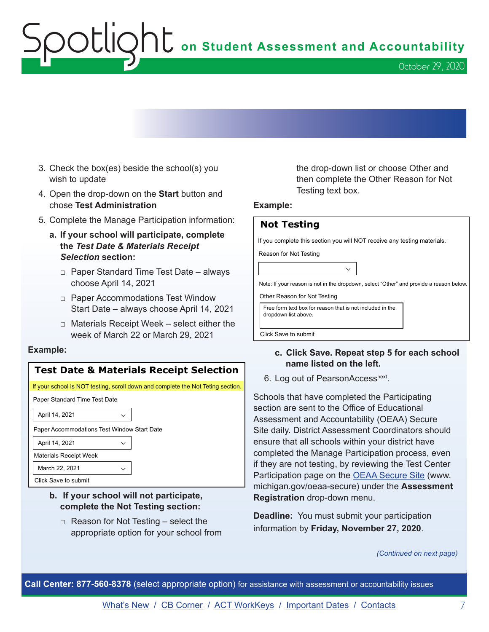## **Spotlight** on Student Assessment and Accountability

- 3. Check the box(es) beside the school(s) you wish to update
- 4. Open the drop-down on the **Start** button and chose **Test Administration**
- 5. Complete the Manage Participation information:
	- **a. If your school will participate, complete the** *Test Date & Materials Receipt Selection* **section:**
		- □ Paper Standard Time Test Date always choose April 14, 2021
		- □ Paper Accommodations Test Window Start Date – always choose April 14, 2021
		- $\Box$  Materials Receipt Week select either the week of March 22 or March 29, 2021

#### **Example:**

#### **Test Date & Materials Receipt Selection**

If your school is NOT testing, scroll down and complete the Not Teting section.

Paper Standard Time Test Date

April 14, 2021

Paper Accommodations Test Window Start Date

April 14, 2021

Materials Receipt Week

March 22, 2021

Click Save to submit

#### **b. If your school will not participate, complete the Not Testing section:**

 $\Box$  Reason for Not Testing – select the appropriate option for your school from the drop-down list or choose Other and then complete the Other Reason for Not Testing text box.

#### **Example:**

| <b>Not Testing</b>                                                                      |
|-----------------------------------------------------------------------------------------|
| If you complete this section you will NOT receive any testing materials.                |
| Reason for Not Testing                                                                  |
| $\checkmark$                                                                            |
| Note: If your reason is not in the dropdown, select "Other" and provide a reason below. |
| Other Reason for Not Testing                                                            |
| Free form text box for reason that is not included in the<br>dropdown list above.       |

Click Save to submit

#### **c. Click Save. Repeat step 5 for each school name listed on the left.**

6. Log out of PearsonAccessnext.

Schools that have completed the Participating section are sent to the Office of Educational Assessment and Accountability (OEAA) Secure Site daily. District Assessment Coordinators should ensure that all schools within your district have completed the Manage Participation process, even if they are not testing, by reviewing the Test Center Participation page on the [OEAA Secure Site](http://www.michigan.gov/oeaa-secure) (www. michigan.gov/oeaa-secure) under the **Assessment Registration** drop-down menu.

**Deadline:** You must submit your participation information by **Friday, November 27, 2020**.

*(Continued on next page)*

**Call Center: 877-560-8378** (select appropriate option) for assistance with assessment or accountability issues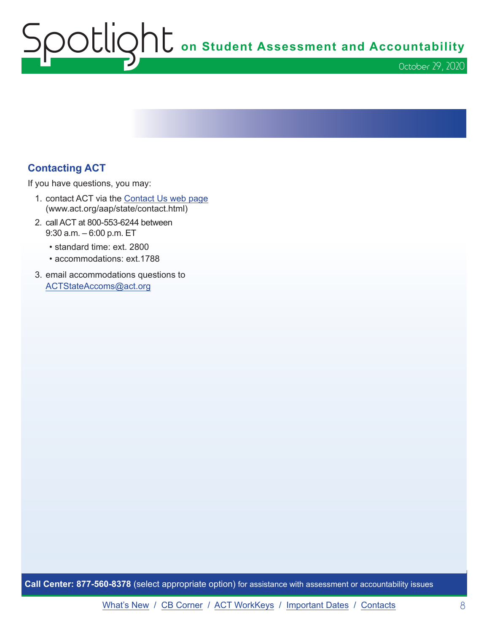Spotlight **on Student Assessment and Accountability** October 29, 2020

#### **Contacting ACT**

If you have questions, you may:

- 1. contact ACT via the [Contact Us web page](http://www.act.org/aap/state/contact.html) ([www.act.org/aap/state/contact.html\)](https://www.act.org/aap/state/contact.html)
- 2. call ACT at 800-553-6244 between 9:30 a.m. – 6:00 p.m. ET
	- standard time: ext. 2800
	- accommodations: ext.1788
- 3. email accommodations questions to [ACTStateAccoms@act.org](mailto:ACTStateAccoms%40act.org?subject=)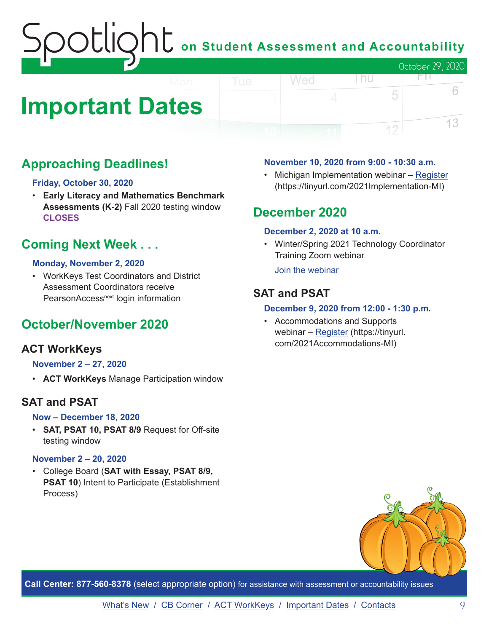### OOCLIQhC on Student Assessment and Accountability October 29, 2020 FП.

## <span id="page-8-0"></span>**Important Dates**

#### **Approaching Deadlines!**

#### **Friday, October 30, 2020**

• **Early Literacy and Mathematics Benchmark Assessments (K-2)** Fall 2020 testing window **CLOSES**

#### **Coming Next Week . . .**

#### **Monday, November 2, 2020**

• WorkKeys Test Coordinators and District Assessment Coordinators receive PearsonAccess<sup>next</sup> login information

#### **October/November 2020**

#### **ACT WorkKeys**

#### **November 2 – 27, 2020**

• **ACT WorkKeys** Manage Participation window

#### **SAT and PSAT**

#### **Now – December 18, 2020**

• **SAT, PSAT 10, PSAT 8/9** Request for Off-site testing window

#### **November 2 – 20, 2020**

• College Board (**SAT with Essay, PSAT 8/9, PSAT 10**) Intent to Participate (Establishment Process)

#### **November 10, 2020 from 9:00 - 10:30 a.m.**

• Michigan Implementation webinar – [Register](https://tinyurl.com/2021Implementation-MI) (https://tinyurl.com/2021Implementation-MI)

l nu

5

12

6

13

#### **December 2020**

Wed

#### **December 2, 2020 at 10 a.m.**

• Winter/Spring 2021 Technology Coordinator Training Zoom webinar

[Join the webinar](https://datarecognitioncorp.zoom.us/j/99441419689)

#### **SAT and PSAT**

#### **December 9, 2020 from 12:00 - 1:30 p.m.**

• Accommodations and Supports webinar – [Register](https://tinyurl.com/2021Accommodations-MI) (https://tinyurl. com/2021Accommodations-MI)



**Call Center: 877-560-8378** (select appropriate option) for assistance with assessment or accountability issues